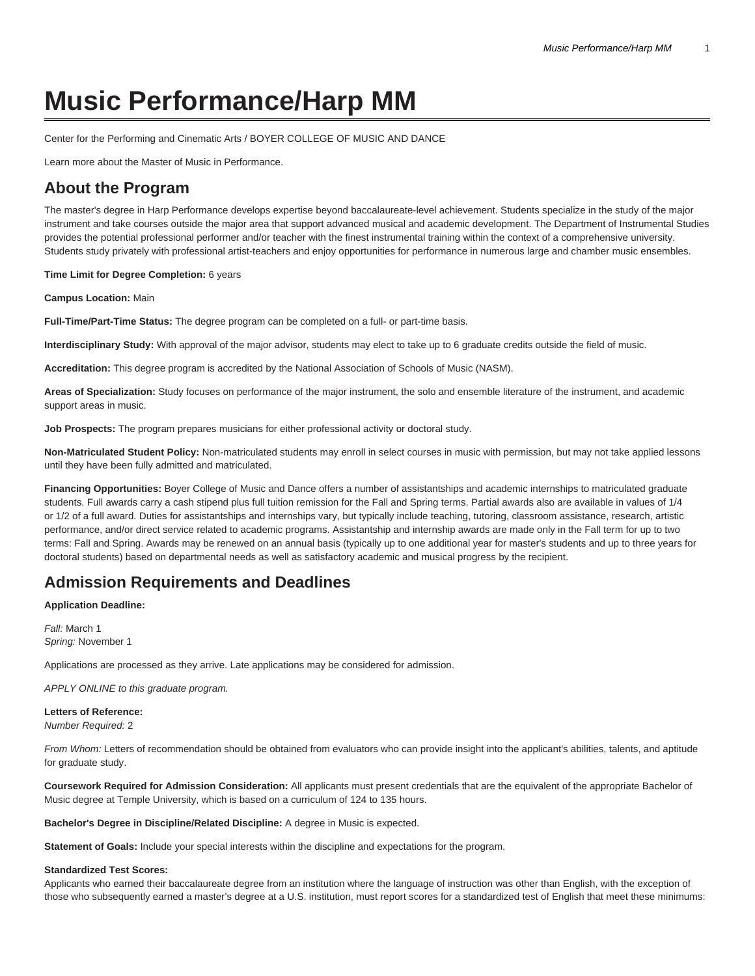# **Music Performance/Harp MM**

[Center for the Performing and Cinematic Arts / BOYER COLLEGE OF MUSIC AND DANCE](https://www.temple.edu/boyer/)

[Learn more about the Master of Music in Performance.](https://www.temple.edu/academics/degree-programs/performance-mm-bc-perf-mmus/)

# **About the Program**

The master's degree in Harp Performance develops expertise beyond baccalaureate-level achievement. Students specialize in the study of the major instrument and take courses outside the major area that support advanced musical and academic development. The Department of Instrumental Studies provides the potential professional performer and/or teacher with the finest instrumental training within the context of a comprehensive university. Students study privately with professional artist-teachers and enjoy opportunities for performance in numerous large and chamber music ensembles.

#### **Time Limit for Degree Completion:** 6 years

**Campus Location:** Main

**Full-Time/Part-Time Status:** The degree program can be completed on a full- or part-time basis.

**Interdisciplinary Study:** With approval of the major advisor, students may elect to take up to 6 graduate credits outside the field of music.

**Accreditation:** This degree program is accredited by the National Association of Schools of Music (NASM).

**Areas of Specialization:** Study focuses on performance of the major instrument, the solo and ensemble literature of the instrument, and academic support areas in music.

**Job Prospects:** The program prepares musicians for either professional activity or doctoral study.

**Non-Matriculated Student Policy:** Non-matriculated students may enroll in select courses in music with permission, but may not take applied lessons until they have been fully admitted and matriculated.

**Financing Opportunities:** Boyer College of Music and Dance offers a number of assistantships and academic internships to matriculated graduate students. Full awards carry a cash stipend plus full tuition remission for the Fall and Spring terms. Partial awards also are available in values of 1/4 or 1/2 of a full award. Duties for assistantships and internships vary, but typically include teaching, tutoring, classroom assistance, research, artistic performance, and/or direct service related to academic programs. Assistantship and internship awards are made only in the Fall term for up to two terms: Fall and Spring. Awards may be renewed on an annual basis (typically up to one additional year for master's students and up to three years for doctoral students) based on departmental needs as well as satisfactory academic and musical progress by the recipient.

# **Admission Requirements and Deadlines**

**Application Deadline:**

Fall: March 1 Spring: November 1

Applications are processed as they arrive. Late applications may be considered for admission.

APPLY ONLINE to this graduate program.

## **Letters of Reference:** Number Required: 2

From Whom: Letters of recommendation should be obtained from evaluators who can provide insight into the applicant's abilities, talents, and aptitude for graduate study.

**Coursework Required for Admission Consideration:** All applicants must present credentials that are the equivalent of the appropriate Bachelor of Music degree at Temple University, which is based on a curriculum of 124 to 135 hours.

**Bachelor's Degree in Discipline/Related Discipline:** A degree in Music is expected.

**Statement of Goals:** Include your special interests within the discipline and expectations for the program.

## **Standardized Test Scores:**

Applicants who earned their baccalaureate degree from an institution where the language of instruction was other than English, with the exception of those who subsequently earned a master's degree at a U.S. institution, must report scores for a standardized test of English that meet these minimums: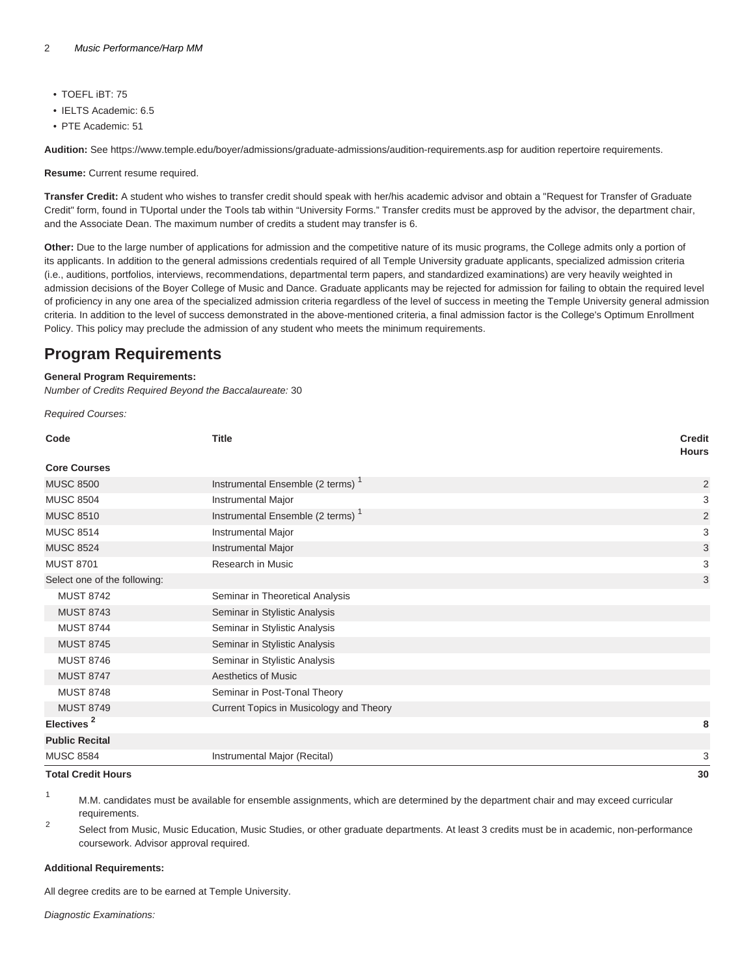- TOEFL iBT: 75
- IELTS Academic: 6.5
- PTE Academic: 51

**Audition:** See <https://www.temple.edu/boyer/admissions/graduate-admissions/audition-requirements.asp>for audition repertoire requirements.

**Resume:** Current resume required.

**Transfer Credit:** A student who wishes to transfer credit should speak with her/his academic advisor and obtain a "Request for Transfer of Graduate Credit" form, found in TUportal under the Tools tab within "University Forms." Transfer credits must be approved by the advisor, the department chair, and the Associate Dean. The maximum number of credits a student may transfer is 6.

**Other:** Due to the large number of applications for admission and the competitive nature of its music programs, the College admits only a portion of its applicants. In addition to the general admissions credentials required of all Temple University graduate applicants, specialized admission criteria (i.e., auditions, portfolios, interviews, recommendations, departmental term papers, and standardized examinations) are very heavily weighted in admission decisions of the Boyer College of Music and Dance. Graduate applicants may be rejected for admission for failing to obtain the required level of proficiency in any one area of the specialized admission criteria regardless of the level of success in meeting the Temple University general admission criteria. In addition to the level of success demonstrated in the above-mentioned criteria, a final admission factor is the College's Optimum Enrollment Policy. This policy may preclude the admission of any student who meets the minimum requirements.

# **Program Requirements**

## **General Program Requirements:**

Number of Credits Required Beyond the Baccalaureate: 30

Required Courses:

| Code                         | <b>Title</b>                                 | <b>Credit</b><br><b>Hours</b> |
|------------------------------|----------------------------------------------|-------------------------------|
| <b>Core Courses</b>          |                                              |                               |
| <b>MUSC 8500</b>             | Instrumental Ensemble (2 terms) <sup>1</sup> | $\overline{2}$                |
| <b>MUSC 8504</b>             | Instrumental Major                           | 3                             |
| <b>MUSC 8510</b>             | Instrumental Ensemble (2 terms) <sup>1</sup> | $\overline{2}$                |
| <b>MUSC 8514</b>             | Instrumental Major                           | 3                             |
| <b>MUSC 8524</b>             | <b>Instrumental Major</b>                    | $\ensuremath{\mathsf{3}}$     |
| <b>MUST 8701</b>             | Research in Music                            | 3                             |
| Select one of the following: |                                              | 3                             |
| <b>MUST 8742</b>             | Seminar in Theoretical Analysis              |                               |
| <b>MUST 8743</b>             | Seminar in Stylistic Analysis                |                               |
| <b>MUST 8744</b>             | Seminar in Stylistic Analysis                |                               |
| <b>MUST 8745</b>             | Seminar in Stylistic Analysis                |                               |
| <b>MUST 8746</b>             | Seminar in Stylistic Analysis                |                               |
| <b>MUST 8747</b>             | <b>Aesthetics of Music</b>                   |                               |
| <b>MUST 8748</b>             | Seminar in Post-Tonal Theory                 |                               |
| <b>MUST 8749</b>             | Current Topics in Musicology and Theory      |                               |
| Electives <sup>2</sup>       |                                              | 8                             |
| <b>Public Recital</b>        |                                              |                               |
| <b>MUSC 8584</b>             | Instrumental Major (Recital)                 | 3                             |
| <b>Total Credit Hours</b>    |                                              | 30                            |

<sup>1</sup> M.M. candidates must be available for ensemble assignments, which are determined by the department chair and may exceed curricular requirements.

 $\overline{2}$ Select from Music, Music Education, Music Studies, or other graduate departments. At least 3 credits must be in academic, non-performance coursework. Advisor approval required.

## **Additional Requirements:**

All degree credits are to be earned at Temple University.

Diagnostic Examinations: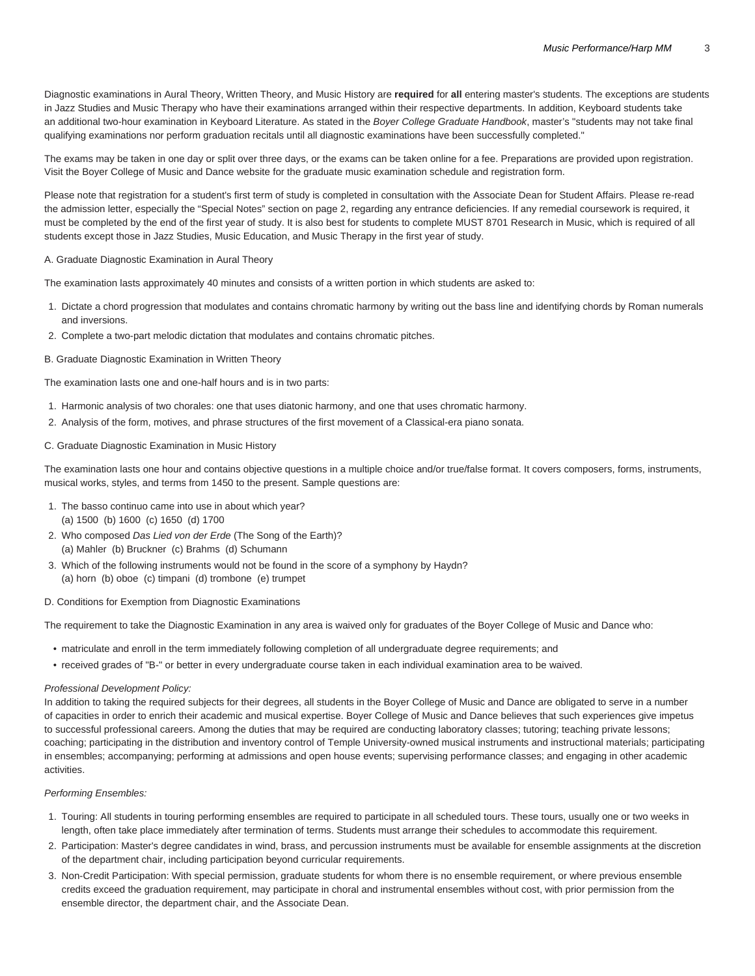Diagnostic examinations in Aural Theory, Written Theory, and Music History are **required** for **all** entering master's students. The exceptions are students in Jazz Studies and Music Therapy who have their examinations arranged within their respective departments. In addition, Keyboard students take an additional two-hour examination in Keyboard Literature. As stated in the Boyer College Graduate Handbook, master's "students may not take final qualifying examinations nor perform graduation recitals until all diagnostic examinations have been successfully completed."

The exams may be taken in one day or split over three days, or the exams can be taken online for a fee. Preparations are provided upon registration. Visit the Boyer College of Music and Dance website for the [graduate music examination schedule and registration form](https://boyer.temple.edu/admissions/graduate-diagnostic-exams-registration/).

Please note that registration for a student's first term of study is completed in consultation with the Associate Dean for Student Affairs. Please re-read the admission letter, especially the "Special Notes" section on page 2, regarding any entrance deficiencies. If any remedial coursework is required, it must be completed by the end of the first year of study. It is also best for students to complete MUST 8701 Research in Music, which is required of all students except those in Jazz Studies, Music Education, and Music Therapy in the first year of study.

## A. Graduate Diagnostic Examination in Aural Theory

The examination lasts approximately 40 minutes and consists of a written portion in which students are asked to:

- 1. Dictate a chord progression that modulates and contains chromatic harmony by writing out the bass line and identifying chords by Roman numerals and inversions.
- 2. Complete a two-part melodic dictation that modulates and contains chromatic pitches.

## B. Graduate Diagnostic Examination in Written Theory

The examination lasts one and one-half hours and is in two parts:

- 1. Harmonic analysis of two chorales: one that uses diatonic harmony, and one that uses chromatic harmony.
- 2. Analysis of the form, motives, and phrase structures of the first movement of a Classical-era piano sonata.

## C. Graduate Diagnostic Examination in Music History

The examination lasts one hour and contains objective questions in a multiple choice and/or true/false format. It covers composers, forms, instruments, musical works, styles, and terms from 1450 to the present. Sample questions are:

- 1. The basso continuo came into use in about which year? (a) 1500 (b) 1600 (c) 1650 (d) 1700
- 2. Who composed Das Lied von der Erde (The Song of the Earth)? (a) Mahler (b) Bruckner (c) Brahms (d) Schumann
- 3. Which of the following instruments would not be found in the score of a symphony by Haydn?
- (a) horn (b) oboe (c) timpani (d) trombone (e) trumpet

# D. Conditions for Exemption from Diagnostic Examinations

The requirement to take the Diagnostic Examination in any area is waived only for graduates of the Boyer College of Music and Dance who:

- matriculate and enroll in the term immediately following completion of all undergraduate degree requirements; and
- received grades of "B-" or better in every undergraduate course taken in each individual examination area to be waived.

#### Professional Development Policy:

In addition to taking the required subjects for their degrees, all students in the Boyer College of Music and Dance are obligated to serve in a number of capacities in order to enrich their academic and musical expertise. Boyer College of Music and Dance believes that such experiences give impetus to successful professional careers. Among the duties that may be required are conducting laboratory classes; tutoring; teaching private lessons; coaching; participating in the distribution and inventory control of Temple University-owned musical instruments and instructional materials; participating in ensembles; accompanying; performing at admissions and open house events; supervising performance classes; and engaging in other academic activities.

# Performing Ensembles:

- 1. Touring: All students in touring performing ensembles are required to participate in all scheduled tours. These tours, usually one or two weeks in length, often take place immediately after termination of terms. Students must arrange their schedules to accommodate this requirement.
- 2. Participation: Master's degree candidates in wind, brass, and percussion instruments must be available for ensemble assignments at the discretion of the department chair, including participation beyond curricular requirements.
- 3. Non-Credit Participation: With special permission, graduate students for whom there is no ensemble requirement, or where previous ensemble credits exceed the graduation requirement, may participate in choral and instrumental ensembles without cost, with prior permission from the ensemble director, the department chair, and the Associate Dean.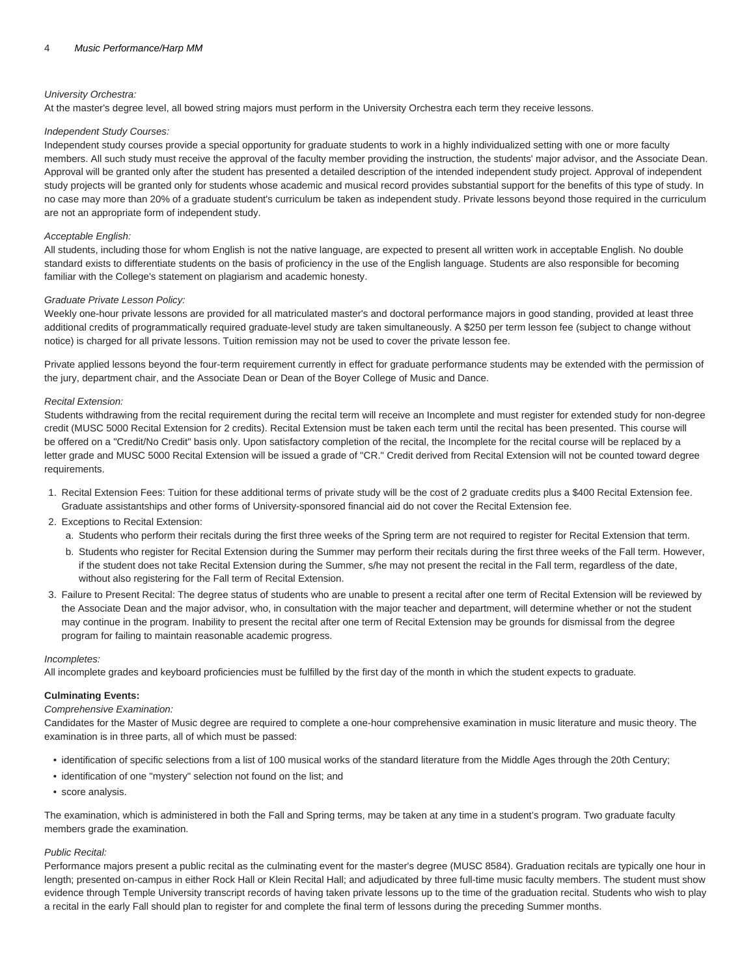# University Orchestra:

At the master's degree level, all bowed string majors must perform in the University Orchestra each term they receive lessons.

#### Independent Study Courses:

Independent study courses provide a special opportunity for graduate students to work in a highly individualized setting with one or more faculty members. All such study must receive the approval of the faculty member providing the instruction, the students' major advisor, and the Associate Dean. Approval will be granted only after the student has presented a detailed description of the intended independent study project. Approval of independent study projects will be granted only for students whose academic and musical record provides substantial support for the benefits of this type of study. In no case may more than 20% of a graduate student's curriculum be taken as independent study. Private lessons beyond those required in the curriculum are not an appropriate form of independent study.

### Acceptable English:

All students, including those for whom English is not the native language, are expected to present all written work in acceptable English. No double standard exists to differentiate students on the basis of proficiency in the use of the English language. Students are also responsible for becoming familiar with the College's statement on plagiarism and academic honesty.

#### Graduate Private Lesson Policy:

Weekly one-hour private lessons are provided for all matriculated master's and doctoral performance majors in good standing, provided at least three additional credits of programmatically required graduate-level study are taken simultaneously. A \$250 per term lesson fee (subject to change without notice) is charged for all private lessons. Tuition remission may not be used to cover the private lesson fee.

Private applied lessons beyond the four-term requirement currently in effect for graduate performance students may be extended with the permission of the jury, department chair, and the Associate Dean or Dean of the Boyer College of Music and Dance.

## Recital Extension:

Students withdrawing from the recital requirement during the recital term will receive an Incomplete and must register for extended study for non-degree credit (MUSC 5000 Recital Extension for 2 credits). Recital Extension must be taken each term until the recital has been presented. This course will be offered on a "Credit/No Credit" basis only. Upon satisfactory completion of the recital, the Incomplete for the recital course will be replaced by a letter grade and MUSC 5000 Recital Extension will be issued a grade of "CR." Credit derived from Recital Extension will not be counted toward degree requirements.

- 1. Recital Extension Fees: Tuition for these additional terms of private study will be the cost of 2 graduate credits plus a \$400 Recital Extension fee. Graduate assistantships and other forms of University-sponsored financial aid do not cover the Recital Extension fee.
- 2. Exceptions to Recital Extension:
	- a. Students who perform their recitals during the first three weeks of the Spring term are not required to register for Recital Extension that term.
	- b. Students who register for Recital Extension during the Summer may perform their recitals during the first three weeks of the Fall term. However, if the student does not take Recital Extension during the Summer, s/he may not present the recital in the Fall term, regardless of the date, without also registering for the Fall term of Recital Extension.
- 3. Failure to Present Recital: The degree status of students who are unable to present a recital after one term of Recital Extension will be reviewed by the Associate Dean and the major advisor, who, in consultation with the major teacher and department, will determine whether or not the student may continue in the program. Inability to present the recital after one term of Recital Extension may be grounds for dismissal from the degree program for failing to maintain reasonable academic progress.

#### Incompletes:

All incomplete grades and keyboard proficiencies must be fulfilled by the first day of the month in which the student expects to graduate.

#### **Culminating Events:**

# Comprehensive Examination:

Candidates for the Master of Music degree are required to complete a one-hour comprehensive examination in music literature and music theory. The examination is in three parts, all of which must be passed:

- identification of specific selections from a list of 100 musical works of the standard literature from the Middle Ages through the 20th Century;
- identification of one "mystery" selection not found on the list; and
- score analysis.

The examination, which is administered in both the Fall and Spring terms, may be taken at any time in a student's program. Two graduate faculty members grade the examination.

#### Public Recital:

Performance majors present a public recital as the culminating event for the master's degree (MUSC 8584). Graduation recitals are typically one hour in length; presented on-campus in either Rock Hall or Klein Recital Hall; and adjudicated by three full-time music faculty members. The student must show evidence through Temple University transcript records of having taken private lessons up to the time of the graduation recital. Students who wish to play a recital in the early Fall should plan to register for and complete the final term of lessons during the preceding Summer months.